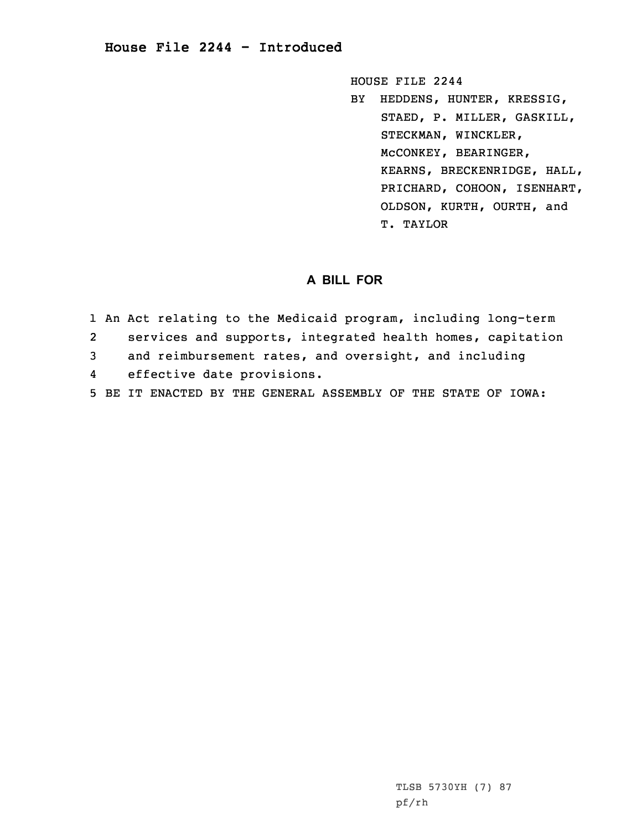HOUSE FILE 2244

BY HEDDENS, HUNTER, KRESSIG, STAED, P. MILLER, GASKILL, STECKMAN, WINCKLER, McCONKEY, BEARINGER, KEARNS, BRECKENRIDGE, HALL, PRICHARD, COHOON, ISENHART, OLDSON, KURTH, OURTH, and T. TAYLOR

## **A BILL FOR**

1 An Act relating to the Medicaid program, including long-term 2 services and supports, integrated health homes, capitation 3 and reimbursement rates, and oversight, and including 4 effective date provisions. 5 BE IT ENACTED BY THE GENERAL ASSEMBLY OF THE STATE OF IOWA:

> TLSB 5730YH (7) 87 pf/rh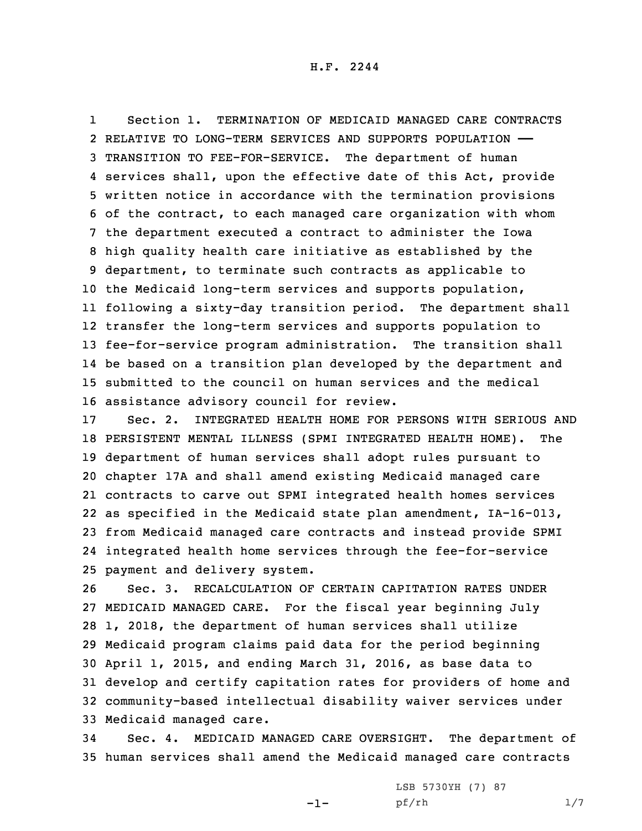1 Section 1. TERMINATION OF MEDICAID MANAGED CARE CONTRACTS RELATIVE TO LONG-TERM SERVICES AND SUPPORTS POPULATION —— TRANSITION TO FEE-FOR-SERVICE. The department of human services shall, upon the effective date of this Act, provide written notice in accordance with the termination provisions of the contract, to each managed care organization with whom the department executed <sup>a</sup> contract to administer the Iowa high quality health care initiative as established by the department, to terminate such contracts as applicable to the Medicaid long-term services and supports population, following <sup>a</sup> sixty-day transition period. The department shall transfer the long-term services and supports population to fee-for-service program administration. The transition shall be based on <sup>a</sup> transition plan developed by the department and submitted to the council on human services and the medical assistance advisory council for review.

 Sec. 2. INTEGRATED HEALTH HOME FOR PERSONS WITH SERIOUS AND PERSISTENT MENTAL ILLNESS (SPMI INTEGRATED HEALTH HOME). The department of human services shall adopt rules pursuant to chapter 17A and shall amend existing Medicaid managed care contracts to carve out SPMI integrated health homes services as specified in the Medicaid state plan amendment, IA-16-013, from Medicaid managed care contracts and instead provide SPMI integrated health home services through the fee-for-service payment and delivery system.

 Sec. 3. RECALCULATION OF CERTAIN CAPITATION RATES UNDER MEDICAID MANAGED CARE. For the fiscal year beginning July 1, 2018, the department of human services shall utilize Medicaid program claims paid data for the period beginning April 1, 2015, and ending March 31, 2016, as base data to develop and certify capitation rates for providers of home and community-based intellectual disability waiver services under Medicaid managed care.

34 Sec. 4. MEDICAID MANAGED CARE OVERSIGHT. The department of 35 human services shall amend the Medicaid managed care contracts

-1-

LSB 5730YH (7) 87 pf/rh 1/7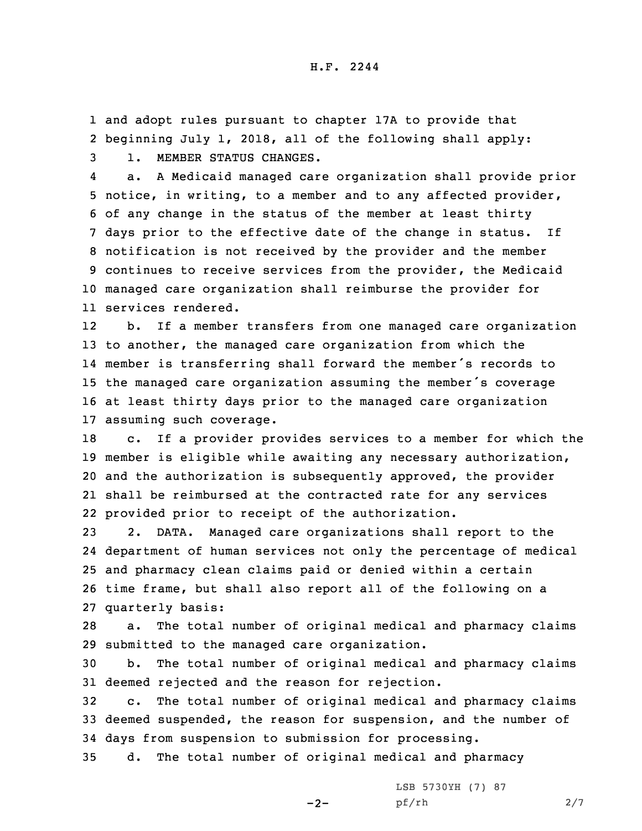1 and adopt rules pursuant to chapter 17A to provide that 2 beginning July 1, 2018, all of the following shall apply: 3 1. MEMBER STATUS CHANGES.

4 a. <sup>A</sup> Medicaid managed care organization shall provide prior notice, in writing, to <sup>a</sup> member and to any affected provider, of any change in the status of the member at least thirty days prior to the effective date of the change in status. If notification is not received by the provider and the member continues to receive services from the provider, the Medicaid managed care organization shall reimburse the provider for services rendered.

12 b. If <sup>a</sup> member transfers from one managed care organization to another, the managed care organization from which the member is transferring shall forward the member's records to the managed care organization assuming the member's coverage at least thirty days prior to the managed care organization assuming such coverage.

 c. If <sup>a</sup> provider provides services to <sup>a</sup> member for which the member is eligible while awaiting any necessary authorization, and the authorization is subsequently approved, the provider shall be reimbursed at the contracted rate for any services provided prior to receipt of the authorization.

 2. DATA. Managed care organizations shall report to the department of human services not only the percentage of medical and pharmacy clean claims paid or denied within <sup>a</sup> certain time frame, but shall also report all of the following on <sup>a</sup> quarterly basis:

28 a. The total number of original medical and pharmacy claims 29 submitted to the managed care organization.

30 b. The total number of original medical and pharmacy claims 31 deemed rejected and the reason for rejection.

32 c. The total number of original medical and pharmacy claims 33 deemed suspended, the reason for suspension, and the number of 34 days from suspension to submission for processing.

35 d. The total number of original medical and pharmacy

 $-2-$ 

LSB 5730YH (7) 87 pf/rh 2/7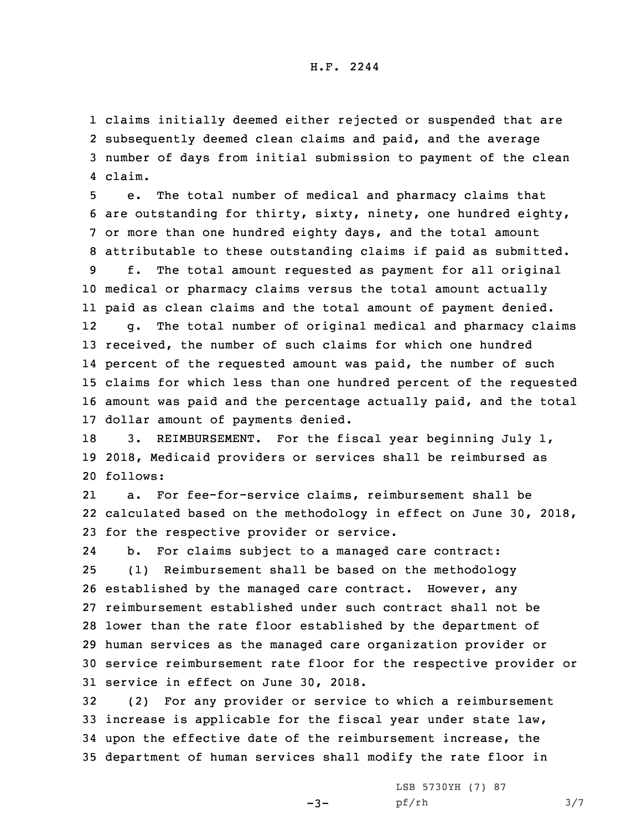## H.F. 2244

 claims initially deemed either rejected or suspended that are subsequently deemed clean claims and paid, and the average number of days from initial submission to payment of the clean 4 claim.

 e. The total number of medical and pharmacy claims that are outstanding for thirty, sixty, ninety, one hundred eighty, or more than one hundred eighty days, and the total amount attributable to these outstanding claims if paid as submitted. f. The total amount requested as payment for all original medical or pharmacy claims versus the total amount actually paid as clean claims and the total amount of payment denied. 12 g. The total number of original medical and pharmacy claims received, the number of such claims for which one hundred percent of the requested amount was paid, the number of such claims for which less than one hundred percent of the requested amount was paid and the percentage actually paid, and the total dollar amount of payments denied.

18 3. REIMBURSEMENT. For the fiscal year beginning July 1, 19 2018, Medicaid providers or services shall be reimbursed as 20 follows:

21 a. For fee-for-service claims, reimbursement shall be 22 calculated based on the methodology in effect on June 30, 2018, 23 for the respective provider or service.

24 b. For claims subject to <sup>a</sup> managed care contract: (1) Reimbursement shall be based on the methodology established by the managed care contract. However, any reimbursement established under such contract shall not be lower than the rate floor established by the department of human services as the managed care organization provider or service reimbursement rate floor for the respective provider or service in effect on June 30, 2018.

 (2) For any provider or service to which <sup>a</sup> reimbursement increase is applicable for the fiscal year under state law, upon the effective date of the reimbursement increase, the department of human services shall modify the rate floor in

 $-3-$ 

LSB 5730YH (7) 87 pf/rh 3/7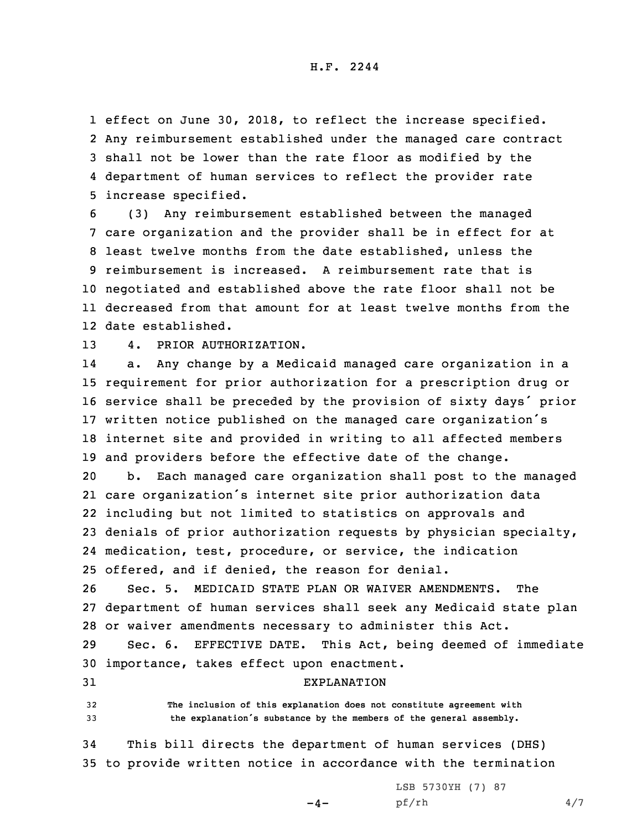H.F. 2244

 effect on June 30, 2018, to reflect the increase specified. Any reimbursement established under the managed care contract shall not be lower than the rate floor as modified by the department of human services to reflect the provider rate increase specified.

 (3) Any reimbursement established between the managed care organization and the provider shall be in effect for at least twelve months from the date established, unless the reimbursement is increased. A reimbursement rate that is negotiated and established above the rate floor shall not be decreased from that amount for at least twelve months from the date established.

13 4. PRIOR AUTHORIZATION.

14 a. Any change by <sup>a</sup> Medicaid managed care organization in <sup>a</sup> requirement for prior authorization for <sup>a</sup> prescription drug or service shall be preceded by the provision of sixty days' prior written notice published on the managed care organization's internet site and provided in writing to all affected members and providers before the effective date of the change. b. Each managed care organization shall post to the managed care organization's internet site prior authorization data

 including but not limited to statistics on approvals and denials of prior authorization requests by physician specialty, medication, test, procedure, or service, the indication offered, and if denied, the reason for denial.

26 Sec. 5. MEDICAID STATE PLAN OR WAIVER AMENDMENTS. The 27 department of human services shall seek any Medicaid state plan 28 or waiver amendments necessary to administer this Act.

29 Sec. 6. EFFECTIVE DATE. This Act, being deemed of immediate 30 importance, takes effect upon enactment.

31 EXPLANATION

32 **The inclusion of this explanation does not constitute agreement with** <sup>33</sup> **the explanation's substance by the members of the general assembly.**

34 This bill directs the department of human services (DHS) 35 to provide written notice in accordance with the termination

 $-4-$ 

LSB 5730YH (7) 87 pf/rh 4/7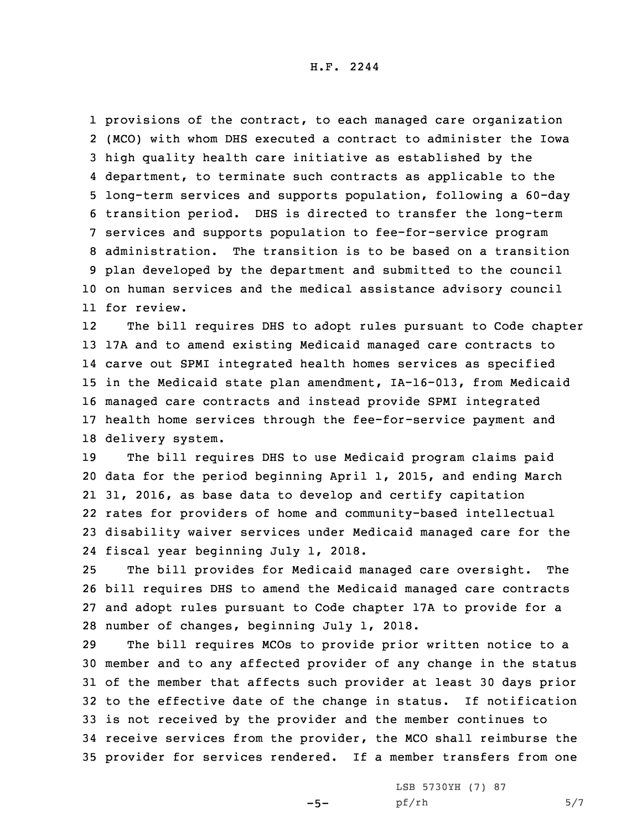provisions of the contract, to each managed care organization (MCO) with whom DHS executed <sup>a</sup> contract to administer the Iowa high quality health care initiative as established by the department, to terminate such contracts as applicable to the long-term services and supports population, following <sup>a</sup> 60-day transition period. DHS is directed to transfer the long-term services and supports population to fee-for-service program administration. The transition is to be based on <sup>a</sup> transition plan developed by the department and submitted to the council on human services and the medical assistance advisory council for review.

12 The bill requires DHS to adopt rules pursuant to Code chapter 17A and to amend existing Medicaid managed care contracts to carve out SPMI integrated health homes services as specified in the Medicaid state plan amendment, IA-16-013, from Medicaid managed care contracts and instead provide SPMI integrated health home services through the fee-for-service payment and delivery system.

 The bill requires DHS to use Medicaid program claims paid data for the period beginning April 1, 2015, and ending March 31, 2016, as base data to develop and certify capitation rates for providers of home and community-based intellectual disability waiver services under Medicaid managed care for the fiscal year beginning July 1, 2018.

 The bill provides for Medicaid managed care oversight. The bill requires DHS to amend the Medicaid managed care contracts and adopt rules pursuant to Code chapter 17A to provide for <sup>a</sup> number of changes, beginning July 1, 2018.

 The bill requires MCOs to provide prior written notice to <sup>a</sup> member and to any affected provider of any change in the status of the member that affects such provider at least 30 days prior to the effective date of the change in status. If notification is not received by the provider and the member continues to receive services from the provider, the MCO shall reimburse the provider for services rendered. If <sup>a</sup> member transfers from one

 $-5-$ 

LSB 5730YH (7) 87  $pf/rh$  5/7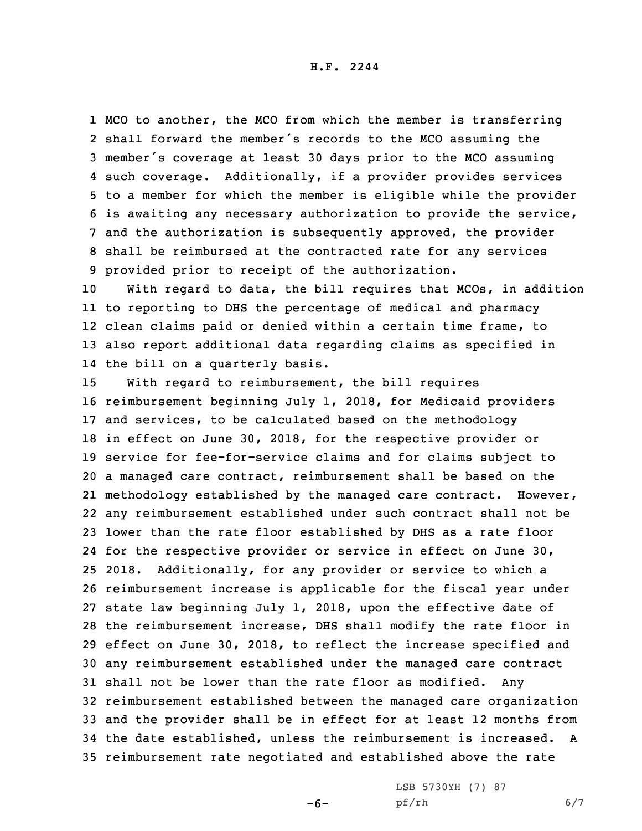H.F. 2244

 MCO to another, the MCO from which the member is transferring shall forward the member's records to the MCO assuming the member's coverage at least <sup>30</sup> days prior to the MCO assuming such coverage. Additionally, if <sup>a</sup> provider provides services to <sup>a</sup> member for which the member is eligible while the provider is awaiting any necessary authorization to provide the service, and the authorization is subsequently approved, the provider shall be reimbursed at the contracted rate for any services provided prior to receipt of the authorization.

 With regard to data, the bill requires that MCOs, in addition to reporting to DHS the percentage of medical and pharmacy clean claims paid or denied within <sup>a</sup> certain time frame, to also report additional data regarding claims as specified in the bill on <sup>a</sup> quarterly basis.

 With regard to reimbursement, the bill requires reimbursement beginning July 1, 2018, for Medicaid providers and services, to be calculated based on the methodology in effect on June 30, 2018, for the respective provider or service for fee-for-service claims and for claims subject to <sup>a</sup> managed care contract, reimbursement shall be based on the methodology established by the managed care contract. However, any reimbursement established under such contract shall not be lower than the rate floor established by DHS as <sup>a</sup> rate floor for the respective provider or service in effect on June 30, 2018. Additionally, for any provider or service to which <sup>a</sup> reimbursement increase is applicable for the fiscal year under state law beginning July 1, 2018, upon the effective date of the reimbursement increase, DHS shall modify the rate floor in effect on June 30, 2018, to reflect the increase specified and any reimbursement established under the managed care contract shall not be lower than the rate floor as modified. Any reimbursement established between the managed care organization and the provider shall be in effect for at least 12 months from the date established, unless the reimbursement is increased. A reimbursement rate negotiated and established above the rate

 $-6-$ 

LSB 5730YH (7) 87 pf/rh 6/7